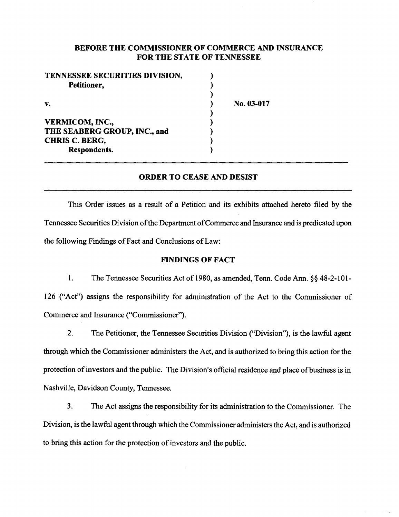## BEFORE THE COMMISSIONER OF COMMERCE AND INSURANCE FOR THE STATE OF TENNESSEE

No. 03-017

| TENNESSEE SECURITIES DIVISION, |  |
|--------------------------------|--|
| Petitioner,                    |  |
|                                |  |
| V.                             |  |
|                                |  |
| <b>VERMICOM, INC.,</b>         |  |
| THE SEABERG GROUP, INC., and   |  |
| <b>CHRIS C. BERG,</b>          |  |
| <b>Respondents.</b>            |  |

# ORDER TO CEASE AND DESIST

This Order issues as a result of a Petition and its exhibits attached hereto filed by the Tennessee Securities Division of the Department of Commerce and Insurance and is predicated upon the following Findings of Fact and Conclusions of Law:

#### FINDINGS OF FACT

1. The Tennessee Securities Act of 1980, as amended, Tenn. Code Ann.§§ 48-2-101- 126 ("Act") assigns the responsibility for administration of the Act to the Commissioner of Commerce and Insurance ("Commissioner'').

2. The Petitioner, the Tennessee Securities Division ("Division"), is the lawful agent through which the Commissioner administers the Act, and is authorized to bring this action for the protection of investors and the public. The Division's official residence and place of business is in Nashville, Davidson County, Tennessee.

3. The Act assigns the responsibility for its administration to the Commissioner. The Division, is the lawful agent through which the Commissioner administers the Act, and is authorized to bring this action for the protection of investors and the public.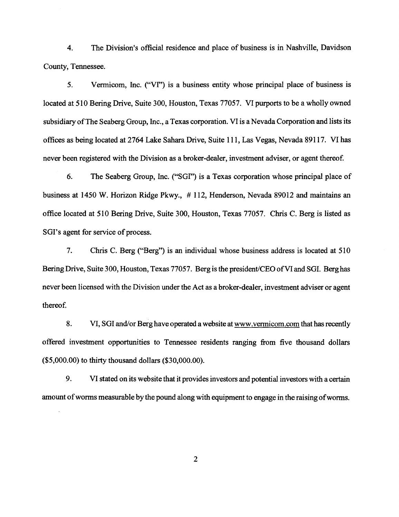4. The Division's official residence and place of business is in Nashville, Davidson County, Tennessee.

5. Vermicom, Inc. ("Vf') is a business entity whose principal place of business is located at 510 Bering Drive, Suite 300, Houston, Texas 77057. VI purports to be a wholly owned subsidiary of The Seaberg Group, Inc., a Texas corporation. VI is a Nevada Corporation and lists its offices as being located at 2764 Lake Sahara Drive, Suite 111, Las Vegas, Nevada 89117. VI has never been registered with the Division as a broker-dealer, investment adviser, or agent thereof.

6. The Seaberg Group, Inc. ("SGI") is a Texas corporation whose principal place of business at 1450 W. Horizon Ridge Pkwy., # 112, Henderson, Nevada 89012 and maintains an office located at 510 Bering Drive, Suite 300, Houston, Texas 77057. Chris C. Berg is listed as SGI's agent for service of process.

7. Chris C. Berg ("Berg") is an individual whose business address is located at 510 Bering Drive, Suite 300, Houston, Texas 77057. Berg is the president/CEO ofVI and SGI. Berg has never been licensed with the Division under the Act as a broker-dealer, investment adviser or agent thereof.

8. VI, SGI and/or Berg have operated a website at www.vermicom.com that has recently offered investment opportunities to Tennessee residents ranging from five thousand dollars (\$5,000.00) to thirty thousand dollars (\$30,000.00).

9. VI stated on its website that it provides investors and potential investors with a certain amount of worms measurable by the pound along with equipment to engage in the raising of worms.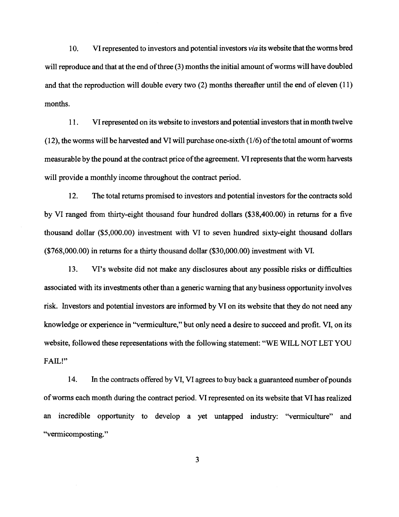10. VI represented to investors and potential investors *via* its website that the worms bred will reproduce and that at the end of three (3) months the initial amount of worms will have doubled and that the reproduction will double every two (2) months thereafter until the end of eleven (11) months.

11. VI represented on its website to investors and potential investors that in month twelve  $(12)$ , the worms will be harvested and VI will purchase one-sixth  $(1/6)$  of the total amount of worms measurable by the pound at the contract price of the agreement. VI represents that the worm harvests will provide a monthly income throughout the contract period.

12. The total returns promised to investors and potential investors for the contracts sold by VI ranged from thirty-eight thousand four hundred dollars (\$38,400.00) in returns for a five thousand dollar (\$5,000.00) investment with VI to seven hundred sixty-eight thousand dollars (\$768,000.00) in returns for a thirty thousand dollar (\$30,000.00) investment with VI.

13. VI's website did not make any disclosures about any possible risks or difficulties associated with its investments other than a generic warning that any business opportunity involves risk. Investors and potential investors are informed by VI on its website that they do not need any knowledge or experience in ''vermiculture," but only need a desire to succeed and profit. VI, on its website, followed these representations with the following statement: "WE WILL NOT LET YOU FAIL!"

14. In the contracts offered by VI, VI agrees to buy back a guaranteed number of pounds of worms each month during the contract period. VI represented on its website that VI has realized an incredible opportunity to develop a yet untapped industry: "vermiculture" and "vermicomposting."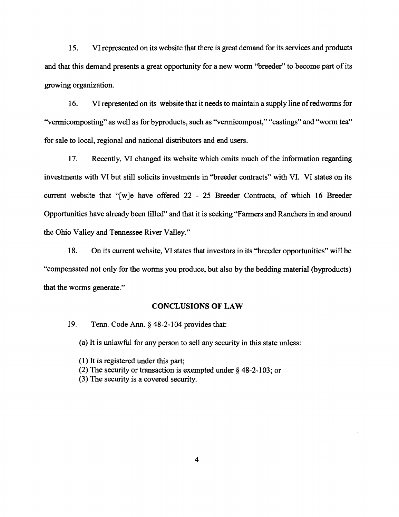15. VI represented on its website that there is great demand for its services and products and that this demand presents a great opportunity for a new worm "breeder" to become part of its growing organization.

16. VI represented on its website that it needs to maintain a supply line of redworms for ''vermicomposting" as well as for byproducts, such as "vermicompost," "castings" and "worm tea" for sale to local, regional and national distributors and end users.

17. Recently, VI changed its website which omits much of the information regarding investments with VI but still solicits investments in "breeder contracts" with VI. VI states on its current website that "[w]e have offered 22 - 25 Breeder Contracts, of which 16 Breeder Opportunities have already been filled" and that it is seeking "Farmers and Ranchers in and around the Ohio Valley and Tennessee River Valley."

18. On its current website, VI states that investors in its "breeder opportunities" will be "compensated not only for the worms you produce, but also by the bedding material (byproducts) that the worms generate."

### **CONCLUSIONS OF LAW**

19. Tenn. Code Ann.§ 48-2-104 provides that:

(a) It is unlawful for any person to sell any security in this state unless:

- (1) It is registered under this part;
- (2) The security or transaction is exempted under  $\S$  48-2-103; or
- (3) The security is a covered security.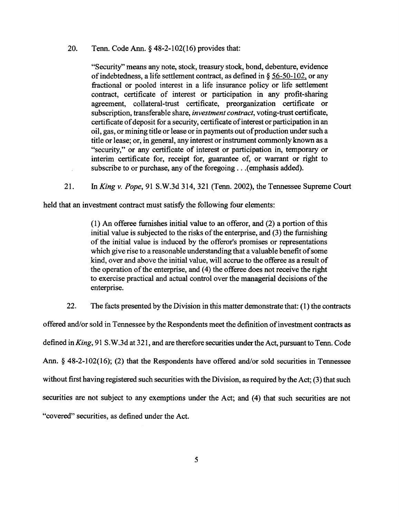20. Tenn. Code Ann.§ 48-2-102(16) provides that:

"Security" means any note, stock, treasury stock, bond, debenture, evidence of indebtedness, a life settlement contract, as defined in § 56-50-102, or any fractional or pooled interest in a life insurance policy or life settlement contract, certificate of interest or participation in any profit-sharing agreement, collateral-trust certificate, preorganization certificate or subscription, transferable share, *investment contract,* voting-trust certificate, certificate of deposit for a security, certificate of interest or participation in an oil, gas, or mining title or lease or in payments out of production under such a title or lease; or, in general, any interest or instrument commonly known as a "security," or any certificate of interest or participation in, temporary or interim certificate for, receipt for, guarantee of, or warrant or right to subscribe to or purchase, any of the foregoing ... (emphasis added).

21. In *King v. Pope,* 91 S.W.3d 314, 321 (Tenn. 2002}, the Tennessee Supreme Court

held that an investment contract must satisfy the following four elements:

(1) An offeree furnishes initial value to an offeror, and (2) a portion of this initial value is subjected to the risks of the enterprise, and (3) the furnishing of the initial value is induced by the offeror's promises or representations which give rise to a reasonable understanding that a valuable benefit of some kind, over and above the initial value, will accrue to the offeree as a result of the operation of the enterprise, and  $(4)$  the offeree does not receive the right to exercise practical and actual control over the managerial decisions of the enterprise.

22. The facts presented by the Division in this matter demonstrate that: ( 1) the contracts offered and/or sold in Tennessee by the Respondents meet the definition of investment contracts as defined in *King*, 91 S.W.3d at 321, and are therefore securities under the Act, pursuant to Tenn. Code Ann. § 48-2-102(16); (2) that the Respondents have offered and/or sold securities in Tennessee without first having registered such securities with the Division, as required by the Act; (3) that such securities are not subject to any exemptions under the Act; and (4) that such securities are not "covered" securities, as defined under the Act.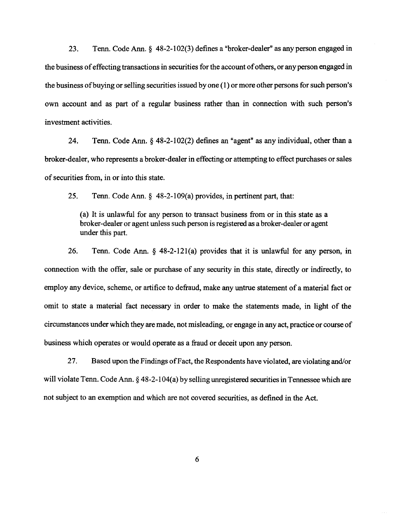23. Tenn. Code Ann.§ 48-2-102(3) defines a "broker-dealer" as any person engaged in the business of effecting transactions in securities for the account of others, or any person engaged in the business ofbuying or selling securities issued by one (1) or more other persons for such person's own account and as part of a regular business rather than in connection with such person's investment activities.

24. Tenn. Code Ann. § 48-2-1 02(2) defines an "agent" as any individual, other than a broker-dealer, who represents a broker-dealer in effecting or attempting to effect purchases or sales of securities from, in or into this state.

25. Tenn. Code Ann. § 48-2-109(a) provides, in pertinent part, that:

(a) It is unlawful for any person to transact business from or in this state as a broker-dealer or agent unless such person is registered as a broker-dealer or agent under this part.

26. Tenn. Code Ann.  $\S$  48-2-121(a) provides that it is unlawful for any person, in connection with the offer, sale or purchase of any security in this state, directly or indirectly, to employ any device, scheme, or artifice to defraud, make any untrue statement of a material fact or omit to state a material fact necessary in order to make the statements made, in light of the circumstances under which they are made, not misleading, or engage in any act, practice or course of business which operates or would operate as a fraud or deceit upon any person.

27. Based upon the Findings of Fact, the Respondents have violated, are violating and/or will violate Tenn. Code Ann. § 48-2-104(a) by selling unregistered securities in Tennessee which are not subject to an exemption and which are not covered securities, as defined in the Act.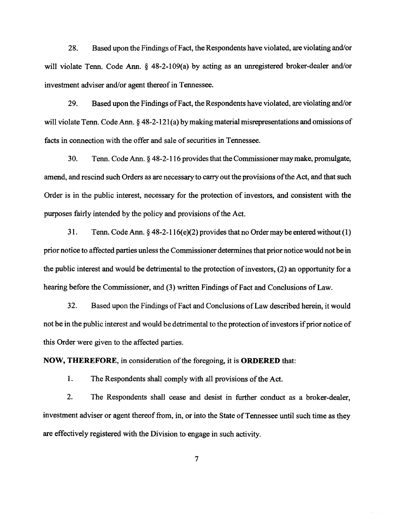28. Based upon the Findings of Fact, the Respondents have violated, are violating and/or will violate Tenn. Code Ann. § 48-2-109(a) by acting as an unregistered broker-dealer and/or investment adviser and/or agent thereof in Tennessee.

29. Based upon the Findings of Fact, the Respondents have violated, are violating and/or will violate Tenn. Code Ann. § 48-2-121(a) by making material misrepresentations and omissions of facts in connection with the offer and sale of securities in Tennessee.

30. Tenn. Code Ann. § 48-2-116 provides that the Commissioner may make, promulgate, amend, and rescind such Orders as are necessary to carry out the provisions of the Act, and that such Order is in the public interest, necessary for the protection of investors, and consistent with the purposes fairly intended by the policy and provisions of the Act.

31. Tenn. Code Ann. § 48-2-116(e)(2) provides that no Order may be entered without (1) prior notice to affected parties unless the Commissioner determines that prior notice would not be in the public interest and would be detrimental to the protection of investors, (2) an opportunity for a hearing before the Commissioner, and (3) written Findings of Fact and Conclusions of Law.

32. Based upon the Findings ofF act and Conclusions of Law described herein, it would not be in the public interest and would be detrimental to the protection of investors if prior notice of this Order were given to the affected parties.

**NOW, THEREFORE,** in consideration of the foregoing, it is **ORDERED** that:

1. The Respondents shall comply with all provisions of the Act.

2. The Respondents shall cease and desist in further conduct as a broker-dealer, investment adviser or agent thereof from, in, or into the State of Tennessee until such time as they are effectively registered with the Division to engage in such activity.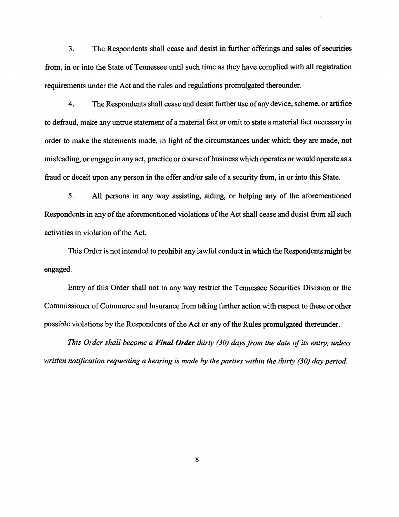3. The Respondents shall cease and desist in further offerings and sales of securities from, in or into the State of Tennessee until such time as they have complied with all registration requirements under the Act and the rules and regulations promulgated thereunder.

4. The Respondents shall cease and desist further use of any device, scheme, or artifice to defraud, make any untrue statement of a material fact or omit to state a material fact necessary in order to make the statements made, in light of the circumstances under which they are made, not misleading, or engage in any act, practice or course ofbusiness which operates or would operate as a fraud or deceit upon any person in the offer and/or sale of a security from, in or into this State.

5. All persons in any way assisting, aiding, or helping any of the aforementioned Respondents in any of the aforementioned violations of the Act shall cease and desist from all such activities in violation of the Act.

This Order is not intended to prohibit any lawful conduct in which the Respondents might be engaged.

Entry of this Order shall not in any way restrict the Tennessee Securities Division or the Commissioner of Commerce and Insurance from taking further action with respect to these or other possible violations by the Respondents of the Act or any of the Rules promulgated thereunder.

*This Order shall become a Final Order thirty (30) days from the date of its entry, unless written notification requesting a hearing is made by the parties within the thirty (30) day period.*